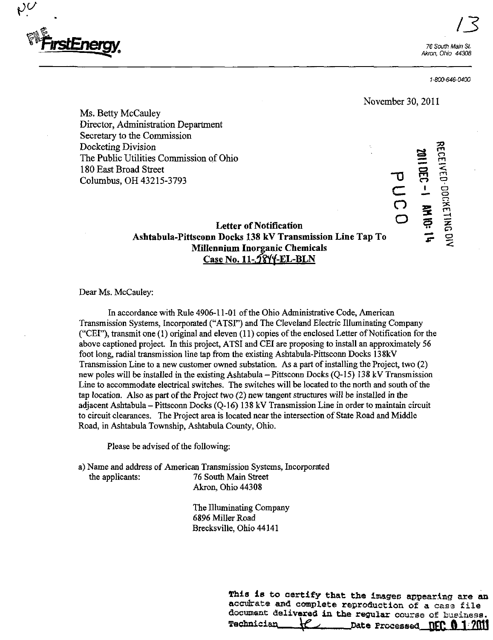

 $N_{\rm c}$ 

1-800-646-0400

 $\sigma$ 

November 30, 2011

 $\Xi$ 

rn  $\Xi$  $\tilde{E}$ a o

m

CTJ  $F$   $\epsilon$ 

뇜

1

 $\mathbf{z}$ ឝូ •"2

C o

 $\tilde{\mathbf{o}}$ 

Ms. Betty McCauley Director, Administration Department Secretary to the Commission Docketing Division The Public Utilities Commission of Ohio 180 East Broad Street Columbus, OH 43215-3793

# Letter of Notification Ashtabula-Pittsconn Docks 138 kV Transmission Line Tap To Millennium Inorganic Chemicals Case No. 11-5844-EL-BLN

Dear Ms. McCauley:

In accordance with Rule 4906-11-01 of the Ohio Administrative Code, American Transmission Systems, Incorporated ("ATSI") and The Cleveland Electric Illuminating Company ("CEI"), transmit one (1) original and eleven (11) copies of the enclosed Letter of Notification for the above captioned project. In this project, ATSI and CEI are proposing to install an approximately 56 foot long, radial transmission line tap from the existing Ashtabula-Pittsconn Docks 138kV Transmission Line to a new customer owned substation. As a part of installing the Project, two (2) new poles will be installed in the existing Ashtabula  $-$  Pittsconn Docks (Q-15) 138 kV Transmission Line to accommodate electrical switches. The switches will be located to the north and south of the tap location. Also as part of the Project two (2) new tangent structures will be installed in the adjacent Ashtabula - Pittsconn Docks (Q-16) 138 kV Transmission Line in order to maintain circuit to circuit clearances. The Project area is located near the intersection of State Road and Middle Road, in Ashtabula Township, Ashtabula County, Ohio.

Please be advised of the following:

a) Name and address of American Transmission Systems, Incorporated 76 South Main Street Akron, Ohio 44308

> The Illuminating Company 6896 Miller Road Brecksville, Ohio 44141

> > This is to certify that the images appearing are an accidrate and complete reproduction of a case file document delivered in the regular course of business.<br>Technicisn  $\mathcal{U}$  hate Processed **DCC 0.1/2011** Date Processed **NFC 0 1 7011**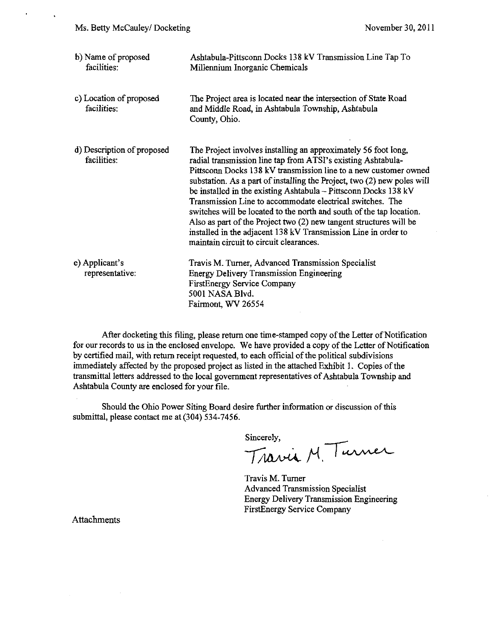ä,

| b) Name of proposed<br>facilities:        | Ashtabula-Pittsconn Docks 138 kV Transmission Line Tap To<br>Millennium Inorganic Chemicals                                                                                                                                                                                                                                                                                                                                                                                                                                                                                                                                                                              |
|-------------------------------------------|--------------------------------------------------------------------------------------------------------------------------------------------------------------------------------------------------------------------------------------------------------------------------------------------------------------------------------------------------------------------------------------------------------------------------------------------------------------------------------------------------------------------------------------------------------------------------------------------------------------------------------------------------------------------------|
| c) Location of proposed<br>facilities:    | The Project area is located near the intersection of State Road<br>and Middle Road, in Ashtabula Township, Ashtabula<br>County, Ohio.                                                                                                                                                                                                                                                                                                                                                                                                                                                                                                                                    |
| d) Description of proposed<br>facilities: | The Project involves installing an approximately 56 foot long,<br>radial transmission line tap from ATSI's existing Ashtabula-<br>Pittsconn Docks 138 kV transmission line to a new customer owned<br>substation. As a part of installing the Project, two (2) new poles will<br>be installed in the existing Ashtabula - Pittsconn Docks 138 kV<br>Transmission Line to accommodate electrical switches. The<br>switches will be located to the north and south of the tap location.<br>Also as part of the Project two (2) new tangent structures will be<br>installed in the adjacent 138 kV Transmission Line in order to<br>maintain circuit to circuit clearances. |
| e) Applicant's<br>representative:         | Travis M. Turner, Advanced Transmission Specialist<br><b>Energy Delivery Transmission Engineering</b><br><b>FirstEnergy Service Company</b><br>5001 NASA Blvd.<br>Fairmont, WV 26554                                                                                                                                                                                                                                                                                                                                                                                                                                                                                     |

After docketing this filing, please return one time-stamped copy of the Letter of Notification for our records to us in the enclosed envelope. We have provided a copy of the Letter of Notification by certified mail, with return receipt requested, to each official of the political subdivisions immediately affected by the proposed project as listed in the attached Exhibit 1. Copies of the transmittal letters addressed to the local government representatives of Ashtabula Township and Ashtabula County are enclosed for your file.

Should the Ohio Power Siting Board desire further information or discussion of this submittal, please contact me at (304) 534-7456.

Sincerely,

Travia M. Purner

Travis M. Tumer Advanced Transmission Specialist Energy Delivery Transmission Engineering FirstEnergy Service Company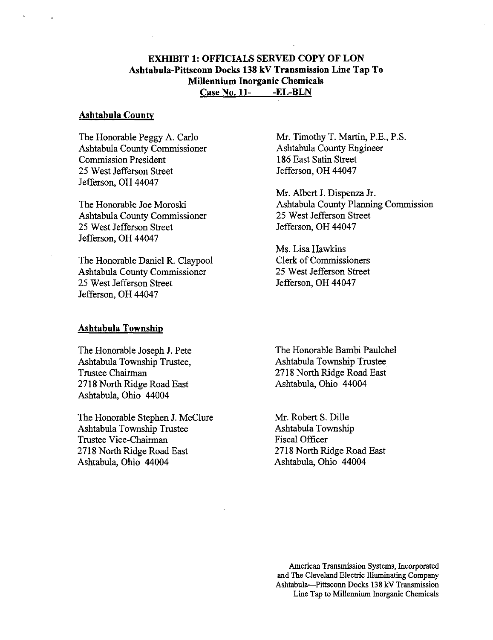# EXHIBIT 1: OFFICIALS SERVED COPY OF LON Ashtabula-Pittsconn Docks 138 kV Transmission Line Tap To Millennium Inorganic Chemicals Case No. 11- -EL-BLN

#### **Ashtabula County**

The Honorable Peggy A. Carlo Ashtabula County Commissioner Commission President 25 West Jefferson Street Jefferson, OH 44047

The Honorable Joe Moroski Ashtabula County Commissioner 25 West Jefferson Street Jefferson, OH 44047

The Honorable Daniel R. Claypool Ashtabula County Commissioner 25 West Jefferson Street Jefferson, OH 44047

#### Ashtabula Township

The Honorable Joseph J. Pete Ashtabula Township Trustee, Trustee Chairman 2718 North Ridge Road East Ashtabula, Ohio 44004

The Honorable Stephen J. McClure Ashtabula Township Trustee Trustee Vice-Chairman 2718 North Ridge Road East Ashtabula, Ohio 44004

Mr. Timothy T. Martin, P.E., P.S. Ashtabula County Engineer 186 East Satin Street Jefferson, OH 44047

Mr. Albert J. Dispenza Jr. Ashtabula County Planning Commission 25 West Jefferson Street Jefferson, OH 44047

Ms. Lisa Hawkins Clerk of Commissioners 25 West Jefferson Street Jefferson, OH 44047

The Honorable Bambi Paulchel Ashtabula Township Trustee 2718 North Ridge Road East Ashtabula, Ohio 44004

Mr. Robert S. Dille Ashtabula Township Fiscal Officer 2718 North Ridge Road East Ashtabula, Ohio 44004

American Transmission Systems, Incorporated and The Cleveland Electric Illuminating Company Ashtabula—Pittsconn Docks 138 kV Transmission Line Tap to Millennium Inorganic Chemicals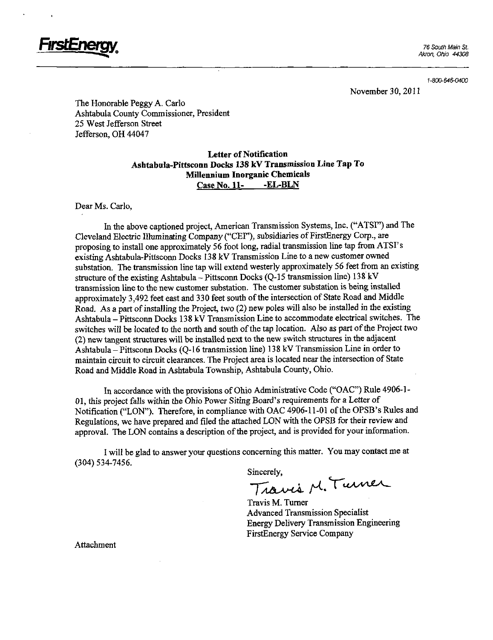

1-800-646-0400

November 30, 2011

The Honorable Peggy A. Carlo Ashtabula County Commissioner, President 25 West Jefferson Street Jefferson, OH 44047

## Letter of Notification Ashtabula-Pittsconn Docks 138 kV Transmission Line Tap To Millennium Inorganic Chemicals Case No. 11- - EL-BLN

Dear Ms. Carlo,

In the above captioned project, American Transmission Systems, Inc. ("ATSI") and The Cleveland Electric Illuminating Company ("CEI"), subsidiaries of FirstEnergy Corp., are proposing to install one approximately 56 foot long, radial transmission line tap from ATSI's existing Ashtabula-Pittsconn Docks 138 kV Transmission Line to a new customer owned substation. The transmission line tap will extend westerly approximately 56 feet from an existing structure of the existing Ashtabula - Pittsconn Docks (Q-15 transmission line) 138 kV transmission line to the new customer substation. The customer substation is being installed approximately 3,492 feet east and 330 feet south of the intersection of State Road and Middle Road. As a part of installing the Project, two (2) new poles will also be installed in the existing Ashtabula - Pittsconn Docks 138 kV Transmission Line to accommodate electrical switches. The switches will be located to the north and south of the tap location. Also as part of the Project two (2) new tangent structares will be installed next to the new switch structures in the adjacent Ashtabula-Pittsconn Docks (Q-16 transmission line) 138 kV Transmission Line in order to maintain circuit to circuit clearances. The Project area is located near the intersection of State Road and Middle Road in Ashtabula Township, Ashtabula County, Ohio.

In accordance with the provisions of Ohio Administrative Code ("OAC") Rule 4906-1- 01, this project falls within the Ohio Power Siting Board's requirements for a Letter of Notification ("LON"). Therefore, in compliance with OAC 4906-11-01 of the OPSB's Rules and Regulations, we have prepared and filed the attached LON with the OPSB for their review and approval. The LON contams a description of the project, and is provided for your information.

I will be glad to answer your questions concerning this matter. You may contact me at (304) 534-7456.

Sincerely,<br>Travis M. Turner

Travis M. Tumer Advanced Transmission Specialist Energy Delivery Transmission Engineering FirstEnergy Service Company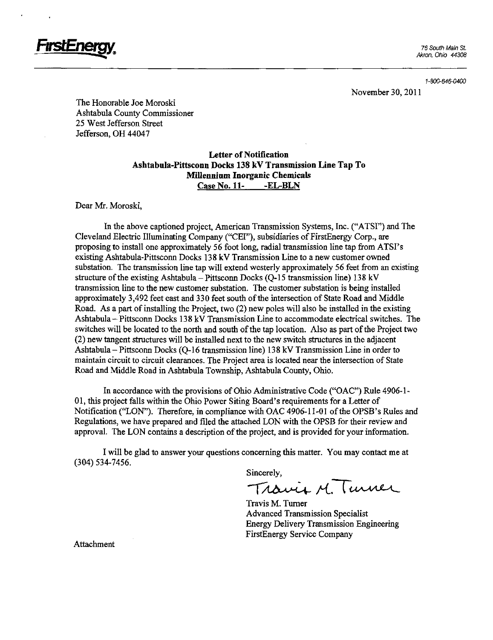

November 30, 2011

The Honorable Joe Moroski Ashtabula County Commissioner 25 West Jefferson Street Jefferson, OH 44047

### Letter of Notification Ashtabula-Pittsconn Docks 138 kV Transmission Line Tap To Millennium Inorganic Chemicals Case No. 11- -EL-BLN

Dear Mr. Moroski,

In the above captioned project, American Transmission Systems, Inc. ("ATSI") and The Cleveland Electric Illuminating Company ("CEI"), subsidiaries of FirstEnergy Corp., are proposing to install one approximately 56 foot long, radial transmission line tap from ATSI's existing Ashtabula-Pittsconn Docks 138 kV Transmission Line to a new customer owned substation. The transmission line tap will extend westerly approximately 56 feet from an existing structure of the existing Ashtabula - Pittsconn Docks (Q-15 transmission line) 138 kV transmission line to the new customer substation. The customer substation is being installed approximately 3,492 feet east and 330 feet south of the intersection of State Road and Middle Road. As a part of installing the Project, two (2) new poles will also be installed in the existing Ashtabula-Pittsconn Docks 138 kV Transmission Line to accommodate electrical switches. The switches will be located to the north and south of the tap location. Also as part of the Project two  $(2)$  new tangent structures will be installed next to the new switch structures in the adjacent Ashtabula-Pittsconn Docks (Q-16 transmission line) 138 kV Transmission Line in order to maintain circuit to circuit clearances. The Project area is located near the intersection of State Road and Middle Road in Ashtabula Township, Ashtabula County, Ohio.

In accordance with the provisions of Ohio Administrative Code ("OAC") Rule 4906-1- 01, this project falls within the Ohio Power Siting Board's requirements for a Letter of Notification ("LON"). Therefore, in compliance with OAC 4906-11-01 of the OPSB's Rules and Regulations, we have prepared and filed the attached LON with the OPSB for their review and approval. The LON contains a description of the project, and is provided for your information.

I will be glad to answer your questions concerning this matter. You may contact me at (304) 534-7456.

Sincerely,<br>Travis M. Turner

Travis M. Tumer Advanced Transmission Specialist Energy Delivery Transmission Engineering FirstEnergy Service Company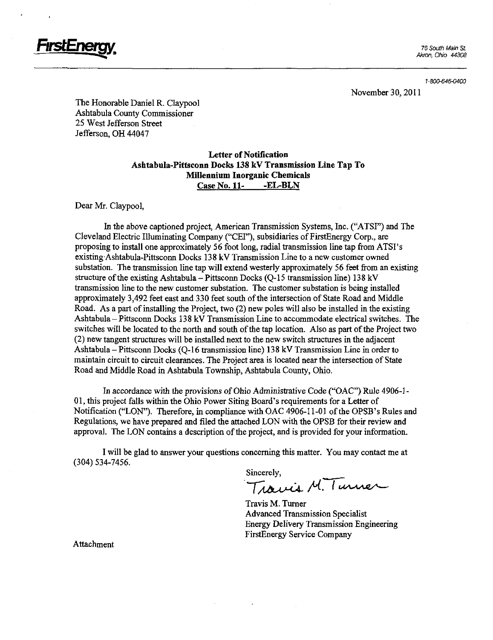

1-800-646-0400

November 30, 2011

The Honorable Daniel R. Claypool Ashtabula County Commissioner 25 West Jefferson Street Jefferson, OH 44047

#### Letter of Notification Ashtabula-Pittsconn Docks 138 kV Transmission Line Tap To Millennium Inorganic Chemicals Case No. 11- -EL-BLN

Dear Mr. Claypool,

In the above captioned project, American Transmission Systems, Inc. ("ATSI") and The Cleveland Electric Illuminating Company ("CEI"), subsidiaries of FirstEnergy Corp., are proposing to install one approximately 56 foot long, radial transmission line tap from ATSI's existing Ashtabula-Pittsconn Docks 138 kV Transmission Line to a new customer owned substation. The transmission line tap will extend westerly approximately 56 feet from an existing structure of the existing Ashtabula - Pittsconn Docks (Q-15 transmission line) 138 kV transmission line to the new customer substation. The customer substation is being installed approximately 3,492 feet east and 330 feet south of the intersection of State Road and Middle Road. As a part of installing the Project, two (2) new poles will also be installed in the existing Ashtabula-Pittsconn Docks 138 kV Transmission Line to accommodate electrical switches. The switches will be located to the north and south of the tap location. Also as part of the Project two (2) new tangent structures will be installed next to the new switch stmctures in the adjacent Ashtabula - Pittsconn Docks (Q-16 transmission line) 138 kV Transmission Line in order to maintain circuit to circuit clearances. The Project area is located near the intersection of State Road and Middle Road in Ashtabula Township, Ashtabula County, Ohio.

In accordance with the provisions of Ohio Administrative Code ("OAC") Rule 4906-1- 01, this project falls within the Ohio Power Siting Board's requirements for a Letter of Notification ("LON"). Therefore, in compliance with OAC 4906-11-01 of the OPSB's Rules and Regulations, we have prepared and filed the attached LON with the OPSB for their review and approval. The LON contains a description of the project, and is provided for your information.

I will be glad to answer your questions concerning this matter. You may contact me at (304) 534-7456.

Sincerely,<br>Trainis M. Turner

Travis M. Tumer Advanced Transmission Specialist Energy Delivery Transmission Engineering FirstEnergy Service Company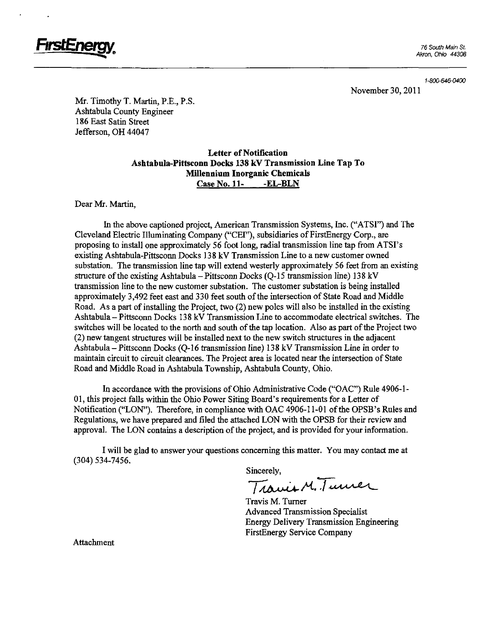

1-800-646-0400

November 30, 2011

Mr. Timothy T. Martin, P.E., P.S. Ashtabula County Engineer 186 East Satin Sfreet Jefferson, OH 44047

## Letter of Notification Ashtabula-Pittsconn Docks 138 kV Transmission Line Tap To Millennium Inorganic Chemicals Case No. 11- -EL-BLN

Dear Mr. Martin,

In the above captioned project, American Transmission Systems, Inc. ("ATSI") and The Cleveland Electric Illuminating Company ("CEF'), subsidiaries of FirstEnergy Corp., are proposing to install one approximately 56 foot long, radial transmission line tap from ATSI's existing Ashtabula-Pittsconn Docks 138 kV Transmission Line to a new customer owned substation. The transmission line tap will extend westerly approximately 56 feet from an existing structure of the existing Ashtabula-Pittsconn Docks (Q-15 transmission line) 138 kV transmission line to the new customer substation. The customer substation is being installed approximately 3,492 feet east and 330 feet south of the intersection of State Road and Middle Road. As a part of installing the Project, two (2) new poles will also be installed in the existing Ashtabula-Pittsconn Docks 138 kV Transmission Line to accommodate electrical switches. The switches will be located to the north and south of the tap location. Also as part of the Project two  $(2)$  new tangent structures will be installed next to the new switch structures in the adjacent Ashtabula - Pittsconn Docks (Q-16 transmission line) 138 kV Transmission Line in order to maintain circuit to circuit clearances. The Project area is located near the intersection of State Road and Middle Road in Ashtabula Township, Ashtabula County, Ohio.

In accordance with the provisions of Ohio Administrative Code ("OAC") Rule 4906-1- 01, this project falls within the Ohio Power Siting Board's requirements for a Letter of Notification ("LON"). Therefore, in compliance with OAC 4906-11-01 of the OPSB's Rules and Regulations, we have prepared and filed die attached LON with the OPSB for their review and approval. The LON contains a description of the project, and is provided for your information.

I will be glad to answer your questions concerning this matter. You may contact me at (304) 534-7456.

Sincerely,<br>Travis M. Turner

Travis M. Tumer Advanced Transmission Specialist Energy Delivery Transmission Engineering FirstEnergy Service Company

Attachmem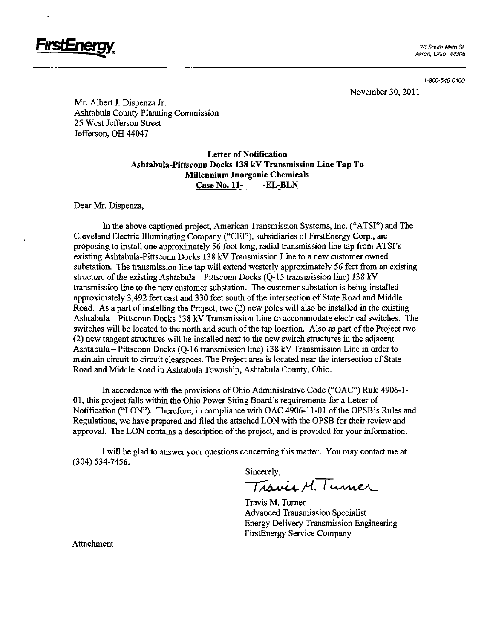

November 30, 2011

Mr. Albert J. Dispenza Jr. Ashtabula County Planning Commission 25 West Jefferson Sfreet Jefferson, OH 44047

#### Letter of Notification Ashtabula-Pittsconn Docks 138 kV Transmission Line Tap To Millennium Inorganic Chemicals Case No. 11- -EL-BLN

Dear Mr. Dispenza,

In the above captioned project, American Transmission Systems, Inc. ("ATSI") and The Cleveland Electric Illuminating Company ("CEI"), subsidiaries of FirstEnergy Corp., are proposing to install one approximately 56 foot long, radial transmission line tap from ATSI's existing Ashtabula-Pittsconn Docks 138 kV Transmission Line to a new customer owned substation. The transmission line tap will extend westerly approximately 56 feet from an existing structure of the existing Ashtabula - Pittsconn Docks (Q-15 transmission line) 138 kV fransmission line to the new customer substation. The customer substation is being installed approximately 3,492 feet east and 330 feet south of the intersection of State Road and Middle Road. As a part of installing the Project, two (2) new poles will also be installed in the existing Ashtabula-Pittsconn Docks 138 kV Transmission Line to accommodate electrical switches. The switches will be located to the north and south of the tap location. Also as part of the Project two (2) new tangent stmctores will be installed next to the new switch stmctares in the adjacent Ashtabula-Pittsconn Docks (Q-16 transmission line) 138 kV Transmission Line in order to maintain circuit to circuit clearances. The Project area is located near the intersection of State Road and Middle Road in Ashtabula Township, Ashtabula County, Ohio.

In accordance with the provisions of Ohio Administrative Code ("OAC") Rule 4906-1- 01, this project falls within the Ohio Power Siting Board's requirements for a Letter of Notification ("LON"). Therefore, in compliance with OAC 4906-11-01 of the OPSB's Rules and Regulations, we have prepared and filed the attached LON with the OPSB for their review and approval. The LON contains a description of the project, and is provided for your information.

I will be glad to answer your questions concerning this matter. You may contact me at (304) 534-7456.

Sincerely,<br>Travis M. Turner

Travis M. Tumer Advanced Transmission Specialist Energy Delivery Transmission Engineering FirstEnergy Service Company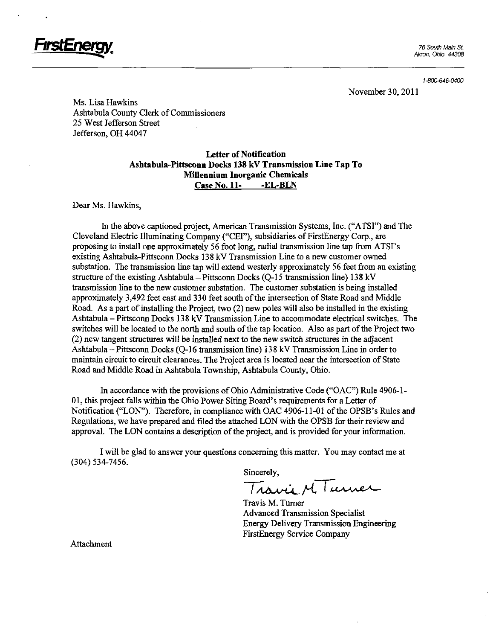

November 30, 2011

Ms. Lisa Hawkins Ashtabula County Clerk of Commissioners 25 West Jefferson Sfreet Jefferson, OH 44047

#### Letter of Notification Ashtabula-Pittsconn Docks 138 kV Transmission Line Tap To Millennium Inorganic Chemicals Case No. 11- -EL-BLN

Dear Ms. Hawkins,

In the above captioned project, American Transmission Systems, Inc. ("ATSI") and The Cleveland Electric Illuminating Company ("CEI"), subsidiaries of FirstEnergy Corp., are proposing to install one approximately 56 foot long, radial transmission line tap from ATSI's existing Ashtabula-Pittsconn Docks 138 kV Transmission Line to a new customer owned substation. The transmission line tap will extend westerly approximately 56 feet from an existing structure of the existing Ashtabula - Pittsconn Docks (Q-15 transmission line) 138 kV fransmission line to the new customer substation. The customer substation is being installed approximately 3,492 feet east and 330 feet south of the intersection of State Road and Middle Road. As a part of installing the Project, two (2) new poles will also be installed in the existing Ashtabula – Pittsconn Docks 138 kV Transmission Line to accommodate electrical switches. The switches will be located to the north and south of the tap location. Also as part of the Project two (2) new tangent stmctures will be installed next to the new switch stmctures in the adjacent Ashtabula-Pittsconn Docks (Q-16 transmission line) 138 kV Transmission Line in order to maintain circuit to circuit clearances. The Project area is located near the intersection of State Road and Middle Road in Ashtabula Township, Ashtabula County, Ohio.

In accordance with the provisions of Ohio Administrative Code ("OAC") Rule 4906-1- 01, this project falls within the Ohio Power Siting Board's requirements for a Letter of Notification ("LON"). Therefore, in compliance with OAC 4906-11-01 of the OPSB's Rules and Regulations, we have prepared and filed the attached LON with the OPSB for their review and approval. The LON contains a description of the project, and is provided for your information.

I will be glad to answer your questions concerning this matter. You may contact me at (304) 534-7456.

Sincerely,

Travia M Turner

Travis M. Tumer Advanced Transmission Specialist Energy Delivery Transmission Engineering FirstEnergy Service Company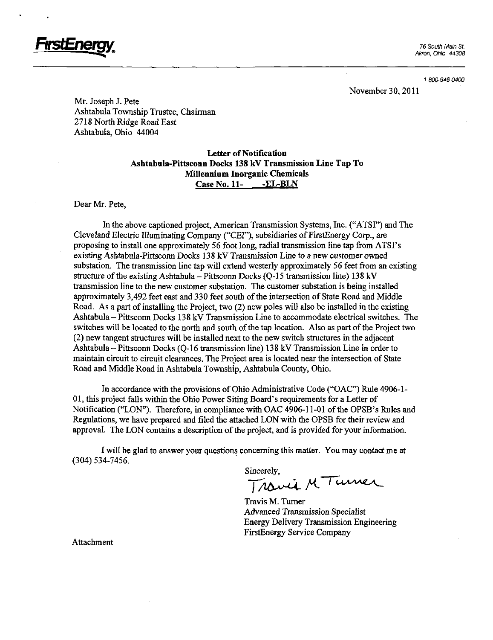

November 30, 2011

Mr. Joseph J. Pete Ashtabula Township Trustee, Chairman 2718 North Ridge Road East Ashtabula, Ohio 44004

#### Letter of Notification Ashtabula-Pittsconn Docks 138 kV Transmission Line Tap To Millennium Inorganic Chemicals Case No. 11- -EL-BLN

Dear Mr. Pete,

In the above captioned project, American Transmission Systems, Inc. ("ATSI") and The Cleveland Electric Illuminating Company ("CEI"), subsidiaries of FirstEnergy Corp., are proposing to install one approximately 56 foot long, radial transmission line tap from ATSI's existing Ashtabula-Pittsconn Docks 138 kV Transmission Line to a new customer owned substation. The transmission line tap will extend westerly approximately 56 feet from an existing structure of the existing Ashtabula - Pittsconn Docks (Q-15 transmission line) 138 kV transmission line to the new customer substation. The customer substation is being installed approximately 3,492 feet east and 330 feet south of the intersection of State Road and Middle Road. As a part of installing the Project, two (2) new poles will also be installed in the existing Ashtabula-Pittsconn Docks 138 kV Transmission Line to accommodate electrical switches. The switches will be located to the north and south of the tap location. Also as part of the Project two (2) new tangent sfructures will be installed next to the new switch stmctares in the adjacent Ashtabula - Pittsconn Docks (Q-16 transmission line) 13 8 kV Transmission Line in order to maintain circuit to circuit clearances. The Project area is located near the intersection of State Road and Middle Road in Ashtabula Township, Ashtabula County, Ohio.

In accordance with the provisions of Ohio Administrative Code ("OAC") Rule 4906-1- 01, this project falls within the Ohio Power Siting Board's requirements for a Letter of Notification ("LON"). Therefore, in compliance with OAC 4906-11-01 of the OPSB's Rules and Regulations, we have prepared and filed the attached LON with the OPSB for their review and approval. The LON contains a description of the project, and is provided for your information.

I will be glad to answer your questions concerning this matter. You may contact me at (304) 534-7456.

Sincerely,<br>Travia M. Turner

Travis M. Tumer Advanced Transmission Specialist Energy Delivery Transmission Engineering FirstEnergy Service Company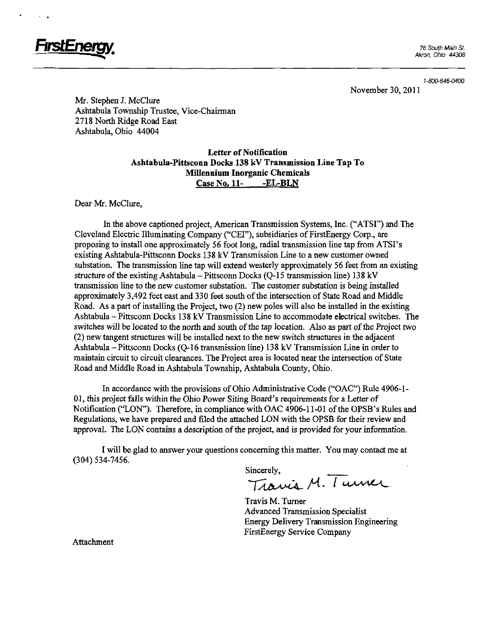

1-800-646-0400

November 30, 2011

Mr. Stephen J. McClure Ashtabula Township Trustee, Vice-Chairman 2718 North Ridge Road East Ashtabula, Ohio 44004

> Letter of Notification Ashtabula-Pittsconn Docks 138 kV Transmission Line Tap To Millennium Inorganic Chemicals Case No. 11- -EL-BLN

Dear Mr. McClure,

In the above captioned project, American Transmission Systems, Inc. ("ATSI") and The Cleveland Electric Illuminating Company ("CEI"), subsidiaries of FirstEnergy Corp., are proposing to install one approximately 56 foot long, radial transmission line tap from ATSI's existing Ashtabula-Pittsconn Docks 138 kV Transmission Line to a new customer owned substation. The fransmission line tap will extend westerly approximately 56 feet from an existing structure of the existing Ashtabula-Pittsconn Docks (Q-15 transmission line) 138 kV transmission line to the new customer substation. The customer substation is being installed approximately 3,492 feet east and 330 feet south of the intersection of State Road and Middle Road. As a part of installing the Project, two (2) new poles will also be installed in the existing Ashtabula-Pittsconn Docks 138 kV Transmission Line to accommodate electrical switches. The switches will be located to the north and south of the tap location. Also as part of the Project two (2) new tangent stmctares will be installed next to the new switch stmctares in the adjacent Ashtabula - Pittsconn Docks (Q-16 transmission line) 138 kV Transmission Line in order to maintain circuit to circuit clearances. The Project area is located near the intersection of State Road and Middle Road in Ashtabula Tovraship, Ashtabula County, Ohio.

In accordance with the provisions of Ohio Administrative Code ("OAC") Rule 4906-1- 01, this project falls within the Ohio Power Siting Board's requirements for a Letter of Notification ("LON"). Therefore, in compliance with OAC 4906-11-01 of die OPSB's Rules and Regulations, we have prepared and filed die attached LON with the OPSB for their review and approval. The LON contains a description of the project, and is provided for your information.

I will be glad to answer your questions concerning this matter. You may contact me at (304) 534-7456.

Sincerely,<br>Travis M. Turner

Travis M. Tumer Advanced Transmission Specialist Energy Delivery Transmission Engineering FirstEnergy Service Company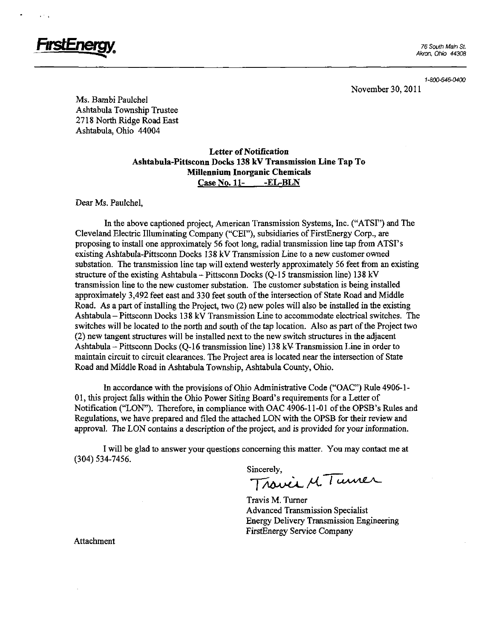

November 30, 2011

Ms. Bambi Paulchel Ashtabula Township Trustee 2718 North Ridge Road East Ashtabula, Ohio 44004

> Letter of Notification Ashtabula-Pittsconn Docks 138 kV Transmission Line Tap To Millennium Inorganic Chemicals Case No. 11- -EL-BLN

Dear Ms. Paulchel,

In the above captioned project, American Transmission Systems, Inc. ("ATSI") and The Cleveland Electric Illuminating Company ("CEI"), subsidiaries of FirstEnergy Corp., are proposing to install one approximately 56 foot long, radial transmission line tap from ATSI's existing Ashtabula-Pittsconn Docks 138 kV Transmission Line to a new customer ovmed substation. The fransmission line tap will extend westerly approximately 56 feet from an existing structure of the existing Ashtabula - Pittsconn Docks (Q-15 transmission line) 138 kV fransmission line to the new customer substation. The customer substation is being installed approximately 3,492 feet east and 330 feet south of the intersection of State Road and Middle Road. As a part of installing the Project, two (2) new poles will also be installed in the existing Ashtabula-Pittsconn Docks 138 kV Transmission Line to accommodate electrical switches. The switches will be located to the north and south of the tap location. Also as part of the Project two (2) new tangent stmctures will be installed next to the new switch stmctares in the adjacent Ashtabula-Pittsconn Docks (Q-16 transmission line) 138 kV Transmission Line in order to maintain circuit to circuit clearances. The Project area is located near the intersection of State Road and Middle Road in Ashtabula Township, Ashtabula County, Ohio.

In accordance with the provisions of Ohio Administrative Code ("OAC") Rule 4906-1- 01, this project falls within the Ohio Power Siting Board's requirements for a Letter of Notification ("LON"). Therefore, in compliance with OAC 4906-11-01 of the OPSB's Rules and Regulations, we have prepared and filed the attached LON with the OPSB for their review and approval. The LON contains a description of the project, and is provided for your information.

I will be glad to answer your questions concerning this matter. You may contact me at (304) 534-7456.

Sincerely,<br>Travel M Turner

Travis M. Tumer Advanced Transmission Specialist Energy Delivery Transmission Engineering FirstEnergy Service Company